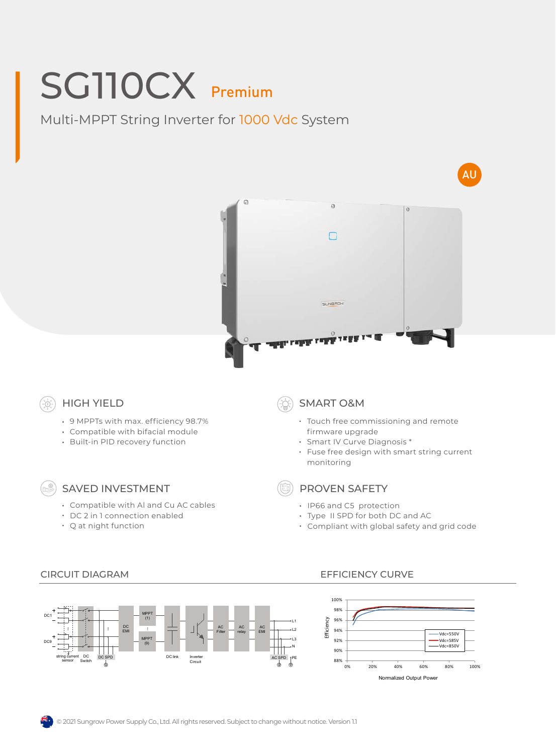# SG110CX Premium

Multi-MPPT String Inverter for 1000 Vdc System





## HIGH YIELD

- 9 MPPTs with max. efficiency 98.7%
- Compatible with bifacial module
- Built-in PID recovery function

### SAVED INVESTMENT

- Compatible with Al and Cu AC cables
- DC 2 in 1 connection enabled
- Q at night function

### SMART O&M

- Touch free commissioning and remote firmware upgrade
- Smart IV Curve Diagnosis \*
- Fuse free design with smart string current monitoring

PROVEN SAFETY

- IP66 and C5 protection
- Type II SPD for both DC and AC
- Compliant with global safety and grid code



#### CIRCUIT DIAGRAM EFFICIENCY CURVE



© 2021 Sungrow Power Supply Co., Ltd. All rights reserved. Subject to change without notice. Version 1.1